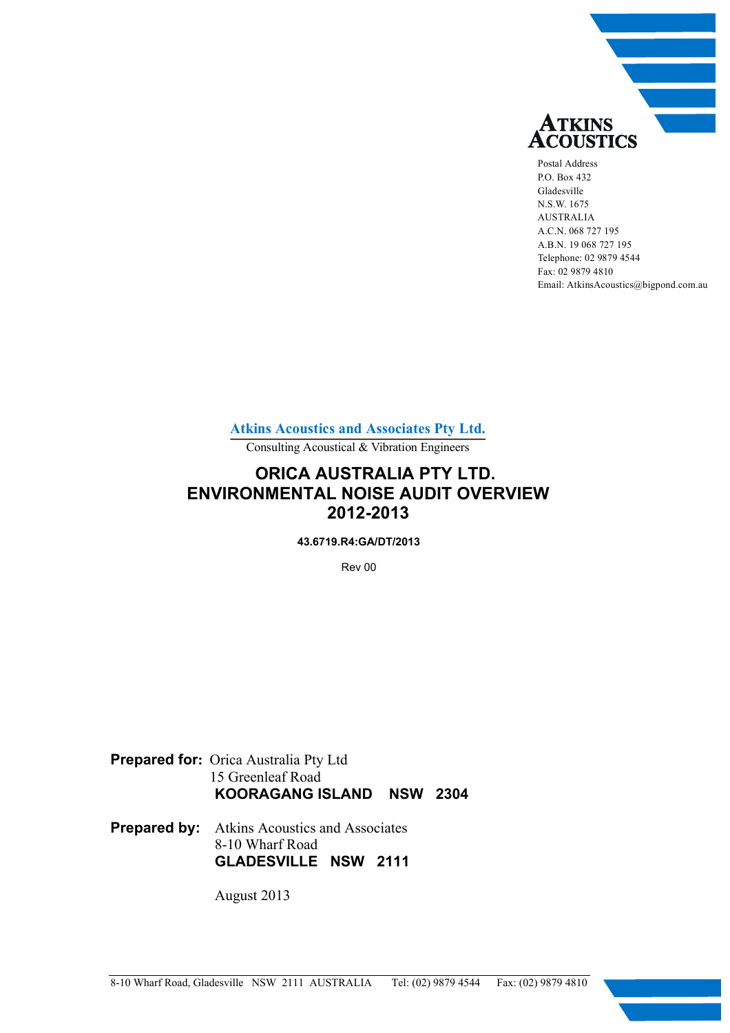

Postal Address P.O. Box 432 Gladesville N.S.W. 1675 AUSTRALIA A.C.N. 068 727 195 A.B.N. 19 068 727 195 Telephone: 02 9879 4544 Fax: 02 9879 4810 Email: AtkinsAcoustics@bigpond.com.au

**Atkins Acoustics and Associates Pty Ltd.**

Consulting Acoustical & Vibration Engineers

# **ORICA AUSTRALIA PTY LTD. ENVIRONMENTAL NOISE AUDIT OVERVIEW 2012-2013**

**43.6719.R4:GA/DT/2013**

Rev 00

**Prepared for:** Orica Australia Pty Ltd 15 Greenleaf Road **KOORAGANG ISLAND NSW 2304**

**Prepared by:** Atkins Acoustics and Associates 8-10 Wharf Road **GLADESVILLE NSW 2111**

August 2013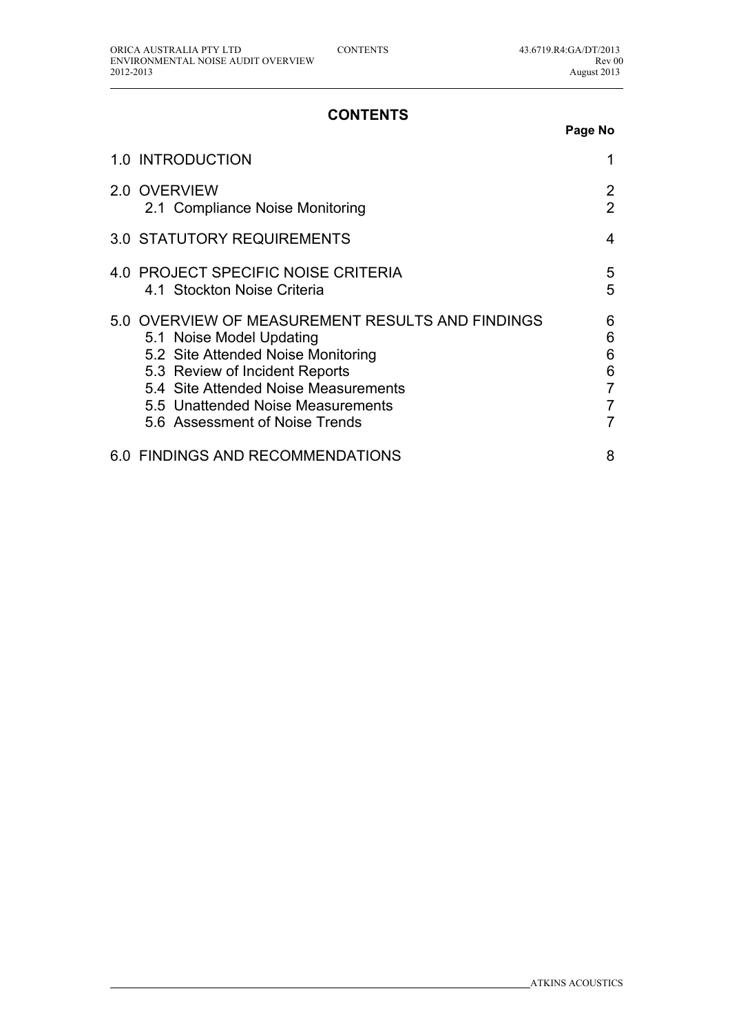# **CONTENTS**

|                                                                                                                                                                                                                                                                     | Page No                          |
|---------------------------------------------------------------------------------------------------------------------------------------------------------------------------------------------------------------------------------------------------------------------|----------------------------------|
| 1.0 INTRODUCTION                                                                                                                                                                                                                                                    | 1                                |
| 2.0 OVERVIEW<br>2.1 Compliance Noise Monitoring                                                                                                                                                                                                                     | $\overline{2}$<br>$\overline{2}$ |
| <b>3.0 STATUTORY REQUIREMENTS</b>                                                                                                                                                                                                                                   | 4                                |
| 4.0 PROJECT SPECIFIC NOISE CRITERIA<br>4.1 Stockton Noise Criteria                                                                                                                                                                                                  | 5<br>5                           |
| 5.0 OVERVIEW OF MEASUREMENT RESULTS AND FINDINGS<br>5.1 Noise Model Updating<br>5.2 Site Attended Noise Monitoring<br>5.3 Review of Incident Reports<br>5.4 Site Attended Noise Measurements<br>5.5 Unattended Noise Measurements<br>5.6 Assessment of Noise Trends | 6<br>6<br>6<br>6<br>7<br>7<br>7  |
| 6.0 FINDINGS AND RECOMMENDATIONS                                                                                                                                                                                                                                    | 8                                |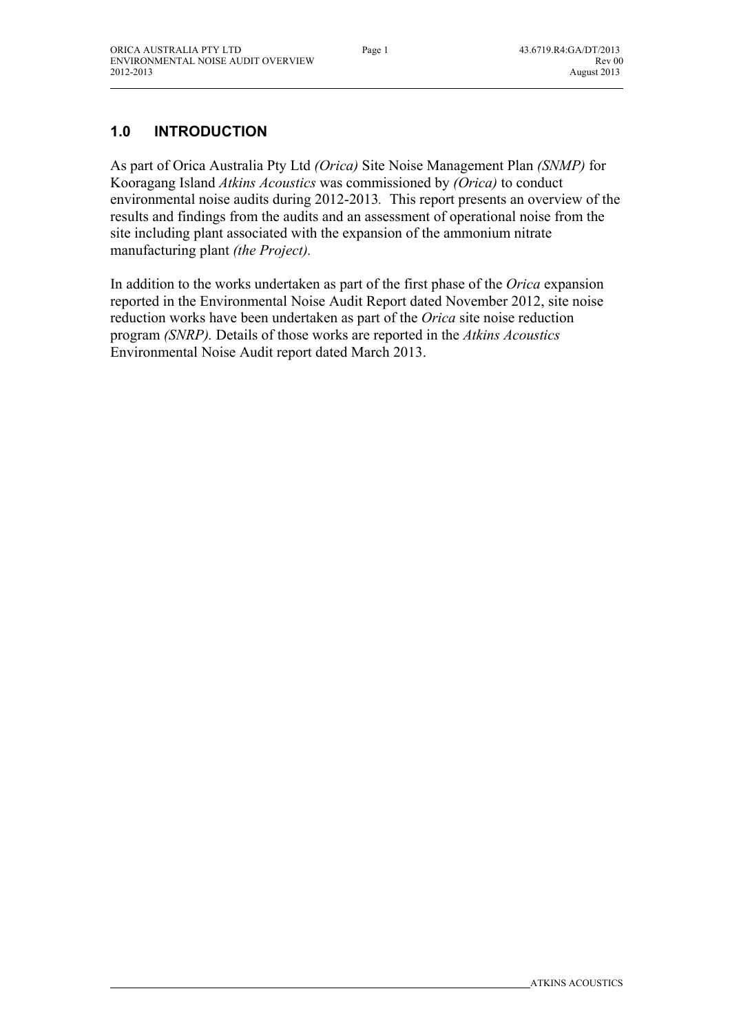# **1.0 INTRODUCTION**

As part of Orica Australia Pty Ltd *(Orica)* Site Noise Management Plan *(SNMP)* for Kooragang Island *Atkins Acoustics* was commissioned by *(Orica)* to conduct environmental noise audits during 2012-2013*.* This report presents an overview of the results and findings from the audits and an assessment of operational noise from the site including plant associated with the expansion of the ammonium nitrate manufacturing plant *(the Project).*

In addition to the works undertaken as part of the first phase of the *Orica* expansion reported in the Environmental Noise Audit Report dated November 2012, site noise reduction works have been undertaken as part of the *Orica* site noise reduction program *(SNRP).* Details of those works are reported in the *Atkins Acoustics* Environmental Noise Audit report dated March 2013.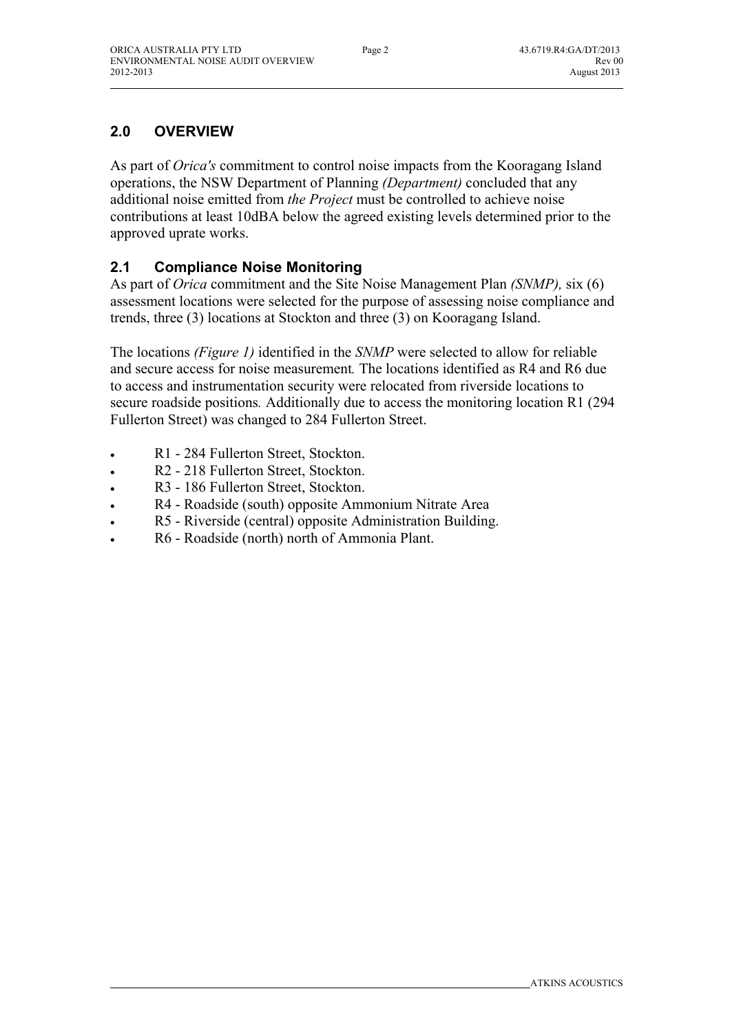# **2.0 OVERVIEW**

As part of *Orica's* commitment to control noise impacts from the Kooragang Island operations, the NSW Department of Planning *(Department)* concluded that any additional noise emitted from *the Project* must be controlled to achieve noise contributions at least 10dBA below the agreed existing levels determined prior to the approved uprate works.

# **2.1 Compliance Noise Monitoring**

As part of *Orica* commitment and the Site Noise Management Plan *(SNMP),* six (6) assessment locations were selected for the purpose of assessing noise compliance and trends, three (3) locations at Stockton and three (3) on Kooragang Island.

The locations *(Figure 1)* identified in the *SNMP* were selected to allow for reliable and secure access for noise measurement*.* The locations identified as R4 and R6 due to access and instrumentation security were relocated from riverside locations to secure roadside positions*.* Additionally due to access the monitoring location R1 (294 Fullerton Street) was changed to 284 Fullerton Street.

- R1 284 Fullerton Street, Stockton.
- R2 218 Fullerton Street, Stockton.
- R<sub>3</sub> 186 Fullerton Street, Stockton.
- R4 Roadside (south) opposite Ammonium Nitrate Area
- R5 Riverside (central) opposite Administration Building.
- R6 Roadside (north) north of Ammonia Plant.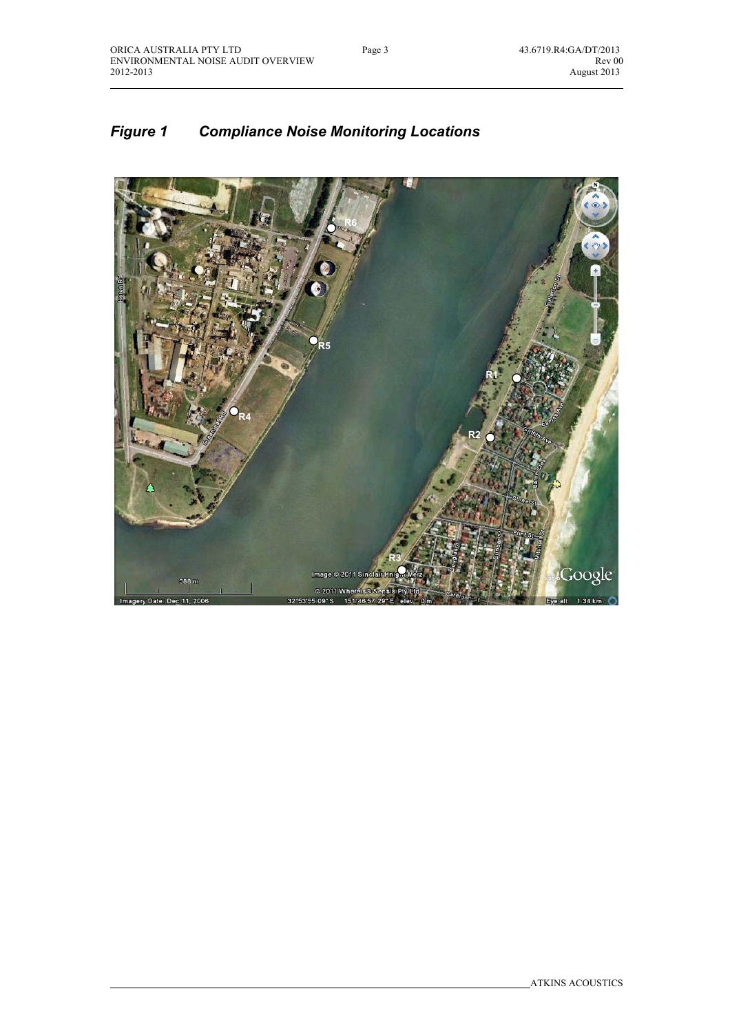# *Figure 1 Compliance Noise Monitoring Locations*

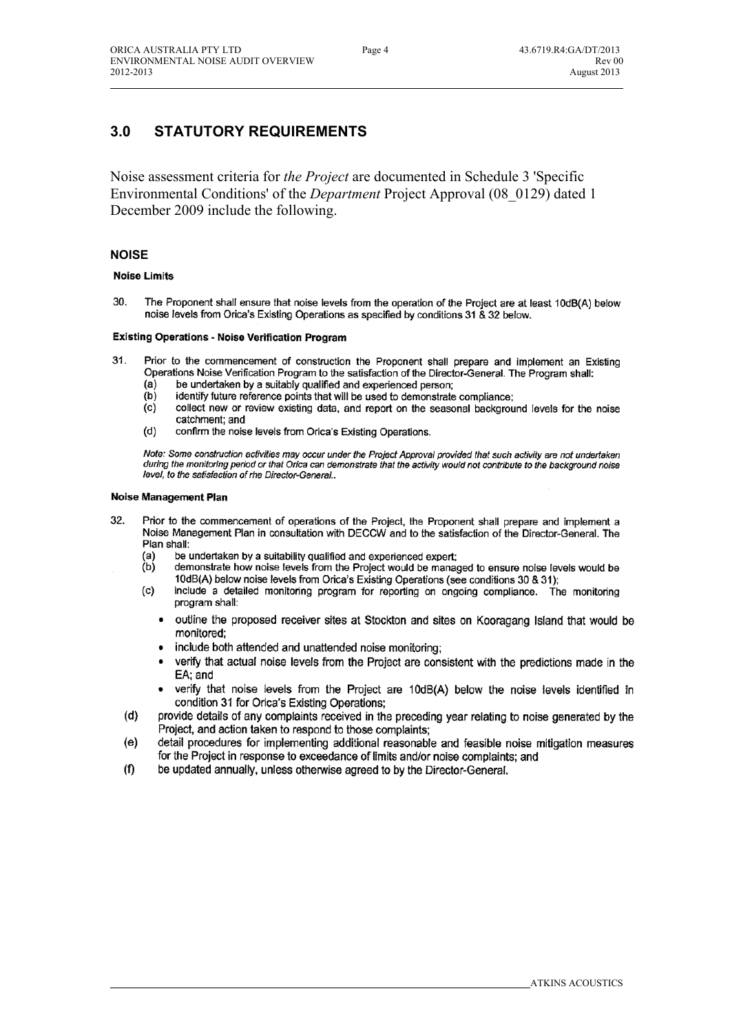### **3.0 STATUTORY REQUIREMENTS**

Noise assessment criteria for *the Project* are documented in Schedule 3 'Specific Environmental Conditions' of the *Department* Project Approval (08\_0129) dated 1 December 2009 include the following.

#### **NOISE**

 $\overline{a}$ 

#### **Noise Limits**

30 The Proponent shall ensure that noise levels from the operation of the Project are at least 10dB(A) below noise levels from Orica's Existing Operations as specified by conditions 31 & 32 below.

#### **Existing Operations - Noise Verification Program**

- $31.$ Prior to the commencement of construction the Proponent shall prepare and implement an Existing Operations Noise Verification Program to the satisfaction of the Director-General. The Program shall:
	- be undertaken by a suitably qualified and experienced person;  $(a)$
	- $(b)$ identify future reference points that will be used to demonstrate compliance;
	- $(c)$ collect new or review existing data, and report on the seasonal background levels for the noise catchment; and
	- $(d)$ confirm the noise levels from Orica's Existing Operations.

Note: Some construction activities may occur under the Project Approval provided that such activity are not undertaken during the monitoring period or that Orica can demonstrate that the activity would not contribute to the background noise level, to the satisfaction of rhe Director-General..

#### **Noise Management Plan**

- Prior to the commencement of operations of the Project, the Proponent shall prepare and implement a 32. Noise Management Plan in consultation with DECCW and to the satisfaction of the Director-General. The Plan shall:
	- be undertaken by a suitability qualified and experienced expert; (a)
	- $(b)$ demonstrate how noise levels from the Project would be managed to ensure noise levels would be 10dB(A) below noise levels from Orica's Existing Operations (see conditions 30 & 31):
	- include a detailed monitoring program for reporting on ongoing compliance. The monitoring  $(c)$ program shall:
		- outline the proposed receiver sites at Stockton and sites on Kooragang Island that would be monitored:
		- include both attended and unattended noise monitoring;
		- verify that actual noise levels from the Project are consistent with the predictions made in the EA; and
		- verify that noise levels from the Project are 10dB(A) below the noise levels identified in condition 31 for Orica's Existing Operations:
	- $(d)$ provide details of any complaints received in the preceding year relating to noise generated by the Project, and action taken to respond to those complaints;
	- detail procedures for implementing additional reasonable and feasible noise mitigation measures  $(e)$ for the Project in response to exceedance of limits and/or noise complaints; and
	- be updated annually, unless otherwise agreed to by the Director-General. (f)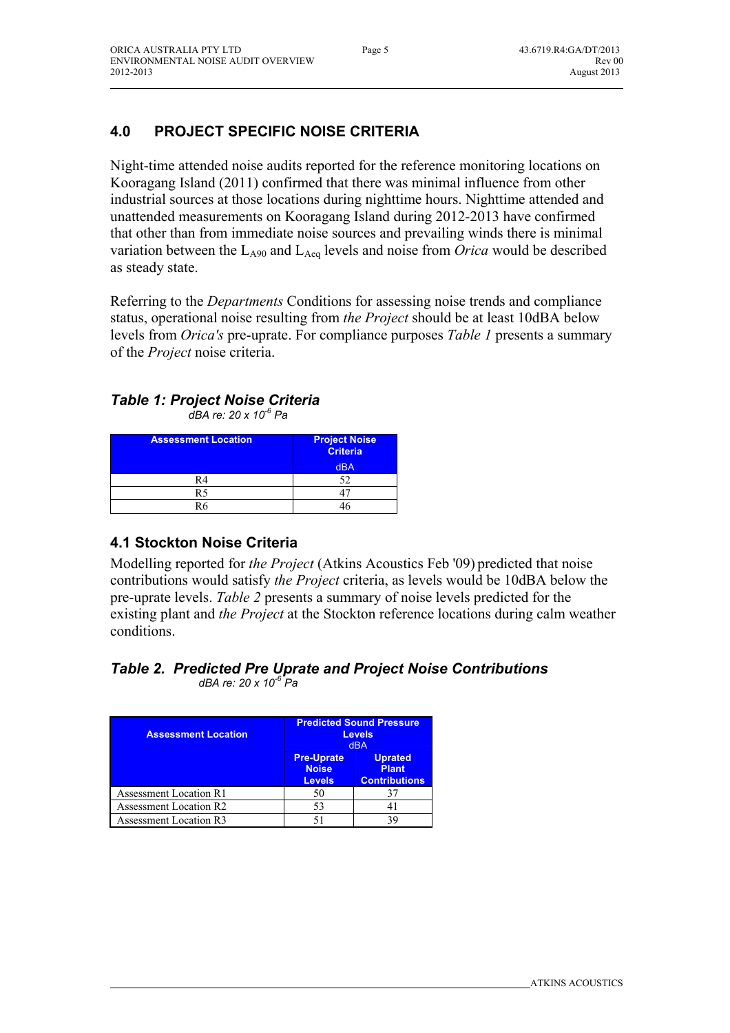# **4.0 PROJECT SPECIFIC NOISE CRITERIA**

Night-time attended noise audits reported for the reference monitoring locations on Kooragang Island (2011) confirmed that there was minimal influence from other industrial sources at those locations during nighttime hours. Nighttime attended and unattended measurements on Kooragang Island during 2012-2013 have confirmed that other than from immediate noise sources and prevailing winds there is minimal variation between the  $L_{A90}$  and  $L_{Aeq}$  levels and noise from *Orica* would be described as steady state.

Referring to the *Departments* Conditions for assessing noise trends and compliance status, operational noise resulting from *the Project* should be at least 10dBA below levels from *Orica's* pre-uprate. For compliance purposes *Table 1* presents a summary of the *Project* noise criteria.

# *Table 1: Project Noise Criteria*

*dBA re: 20 x 10-6 Pa*

| <b>Assessment Location</b> | <b>Project Noise</b><br><b>Criteria</b><br><b>dBA</b> |
|----------------------------|-------------------------------------------------------|
| R4                         | 52                                                    |
| R5                         |                                                       |
|                            |                                                       |

### **4.1 Stockton Noise Criteria**

Modelling reported for *the Project* (Atkins Acoustics Feb '09) predicted that noise contributions would satisfy *the Project* criteria, as levels would be 10dBA below the pre-uprate levels. *Table 2* presents a summary of noise levels predicted for the existing plant and *the Project* at the Stockton reference locations during calm weather conditions.

#### *Table 2. Predicted Pre Uprate and Project Noise Contributions dBA re: 20 x 10-6 Pa*

| <b>Assessment Location</b>    | <b>Predicted Sound Pressure</b><br><b>Levels</b><br>dBA |                                                        |
|-------------------------------|---------------------------------------------------------|--------------------------------------------------------|
|                               | <b>Pre-Uprate</b><br><b>Noise</b><br><b>Levels</b>      | <b>Uprated</b><br><b>Plant</b><br><b>Contributions</b> |
| <b>Assessment Location R1</b> | 50                                                      |                                                        |
| <b>Assessment Location R2</b> | 53                                                      |                                                        |
| <b>Assessment Location R3</b> | 51                                                      |                                                        |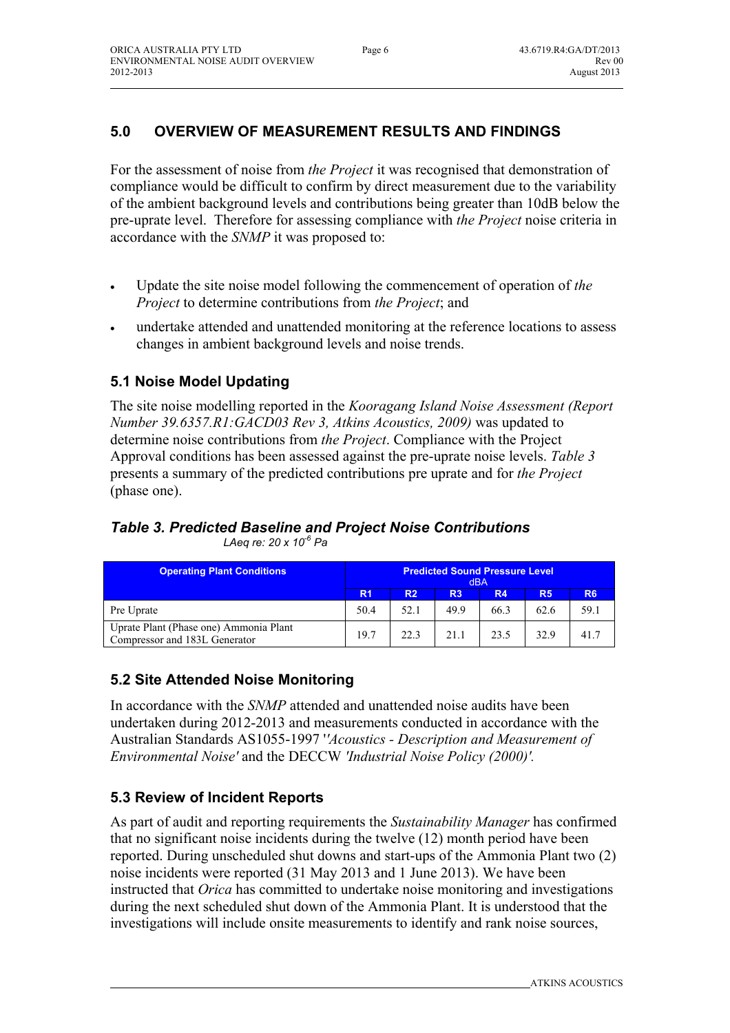## **5.0 OVERVIEW OF MEASUREMENT RESULTS AND FINDINGS**

For the assessment of noise from *the Project* it was recognised that demonstration of compliance would be difficult to confirm by direct measurement due to the variability of the ambient background levels and contributions being greater than 10dB below the pre-uprate level. Therefore for assessing compliance with *the Project* noise criteria in accordance with the *SNMP* it was proposed to:

- Update the site noise model following the commencement of operation of *the Project* to determine contributions from *the Project*; and
- undertake attended and unattended monitoring at the reference locations to assess changes in ambient background levels and noise trends.

#### **5.1 Noise Model Updating**

The site noise modelling reported in the *Kooragang Island Noise Assessment (Report Number 39.6357.R1:GACD03 Rev 3, Atkins Acoustics, 2009)* was updated to determine noise contributions from *the Project*. Compliance with the Project Approval conditions has been assessed against the pre-uprate noise levels. *Table 3* presents a summary of the predicted contributions pre uprate and for *the Project* (phase one).

#### *Table 3. Predicted Baseline and Project Noise Contributions LAeq re: 20 x 10-6 Pa*

| <b>Operating Plant Conditions</b>                                       | <b>Predicted Sound Pressure Level</b><br>dBA |                |       |      |           |                |
|-------------------------------------------------------------------------|----------------------------------------------|----------------|-------|------|-----------|----------------|
|                                                                         | R <sub>1</sub>                               | R <sub>2</sub> | R3    | R4   | <b>R5</b> | R <sub>6</sub> |
| Pre Uprate                                                              | 50.4                                         | 52.1           | 49.9  | 66.3 | 62.6      | 59.1           |
| Uprate Plant (Phase one) Ammonia Plant<br>Compressor and 183L Generator | 19.7                                         | 223            | 2.1 1 | 23.5 | 32.9      | 41.7           |

### **5.2 Site Attended Noise Monitoring**

In accordance with the *SNMP* attended and unattended noise audits have been undertaken during 2012-2013 and measurements conducted in accordance with the Australian Standards AS1055-1997 '*'Acoustics - Description and Measurement of Environmental Noise'* and the DECCW *'Industrial Noise Policy (2000)'.*

### **5.3 Review of Incident Reports**

As part of audit and reporting requirements the *Sustainability Manager* has confirmed that no significant noise incidents during the twelve (12) month period have been reported. During unscheduled shut downs and start-ups of the Ammonia Plant two (2) noise incidents were reported (31 May 2013 and 1 June 2013). We have been instructed that *Orica* has committed to undertake noise monitoring and investigations during the next scheduled shut down of the Ammonia Plant. It is understood that the investigations will include onsite measurements to identify and rank noise sources,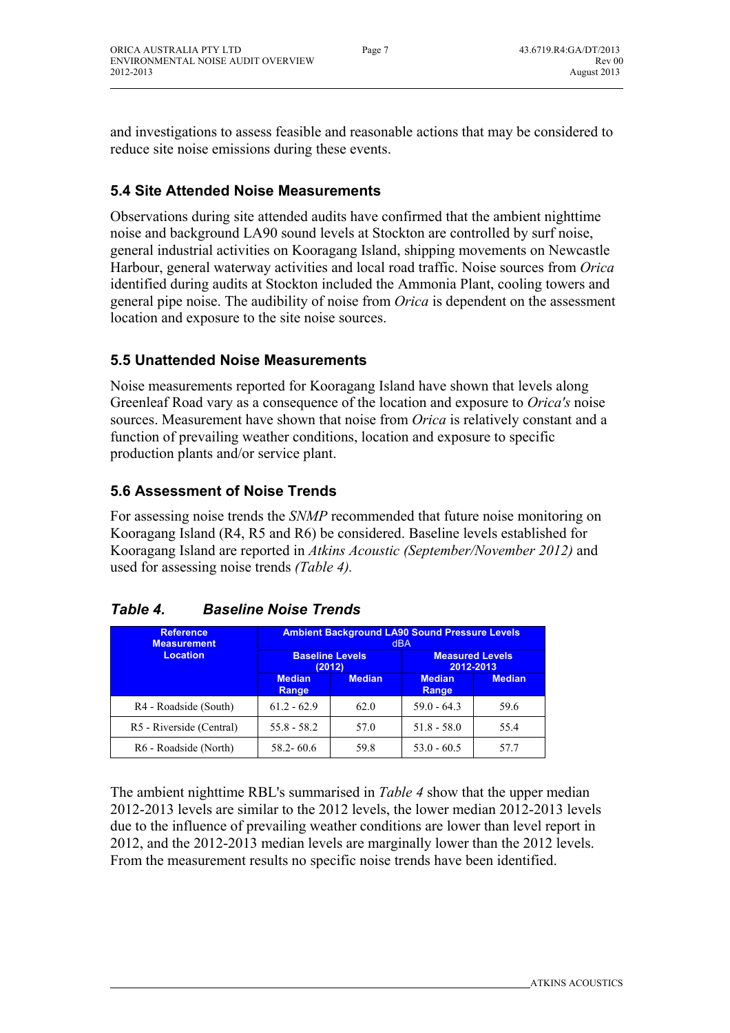and investigations to assess feasible and reasonable actions that may be considered to reduce site noise emissions during these events.

### **5.4 Site Attended Noise Measurements**

Observations during site attended audits have confirmed that the ambient nighttime noise and background LA90 sound levels at Stockton are controlled by surf noise, general industrial activities on Kooragang Island, shipping movements on Newcastle Harbour, general waterway activities and local road traffic. Noise sources from *Orica* identified during audits at Stockton included the Ammonia Plant, cooling towers and general pipe noise. The audibility of noise from *Orica* is dependent on the assessment location and exposure to the site noise sources.

### **5.5 Unattended Noise Measurements**

Noise measurements reported for Kooragang Island have shown that levels along Greenleaf Road vary as a consequence of the location and exposure to *Orica's* noise sources. Measurement have shown that noise from *Orica* is relatively constant and a function of prevailing weather conditions, location and exposure to specific production plants and/or service plant.

## **5.6 Assessment of Noise Trends**

For assessing noise trends the *SNMP* recommended that future noise monitoring on Kooragang Island (R4, R5 and R6) be considered. Baseline levels established for Kooragang Island are reported in *Atkins Acoustic (September/November 2012)* and used for assessing noise trends *(Table 4).*

| <b>Reference</b><br><b>Measurement</b> | <b>Ambient Background LA90 Sound Pressure Levels</b><br>dBA |                                  |                                     |               |  |  |
|----------------------------------------|-------------------------------------------------------------|----------------------------------|-------------------------------------|---------------|--|--|
| <b>Location</b>                        |                                                             | <b>Baseline Levels</b><br>(2012) | <b>Measured Levels</b><br>2012-2013 |               |  |  |
|                                        | <b>Median</b><br>Range                                      | <b>Median</b>                    | <b>Median</b><br>Range              | <b>Median</b> |  |  |
| R4 - Roadside (South)                  | $61.2 - 62.9$                                               | 62.0                             | $59.0 - 64.3$                       | 59.6          |  |  |
| R5 - Riverside (Central)               | $55.8 - 58.2$                                               | 57.0                             | $51.8 - 58.0$                       | 55.4          |  |  |
| R6 - Roadside (North)                  | $58.2 - 60.6$                                               | 59.8                             | $53.0 - 60.5$                       | 57.7          |  |  |

### *Table 4. Baseline Noise Trends*

The ambient nighttime RBL's summarised in *Table 4* show that the upper median 2012-2013 levels are similar to the 2012 levels, the lower median 2012-2013 levels due to the influence of prevailing weather conditions are lower than level report in 2012, and the 2012-2013 median levels are marginally lower than the 2012 levels. From the measurement results no specific noise trends have been identified.